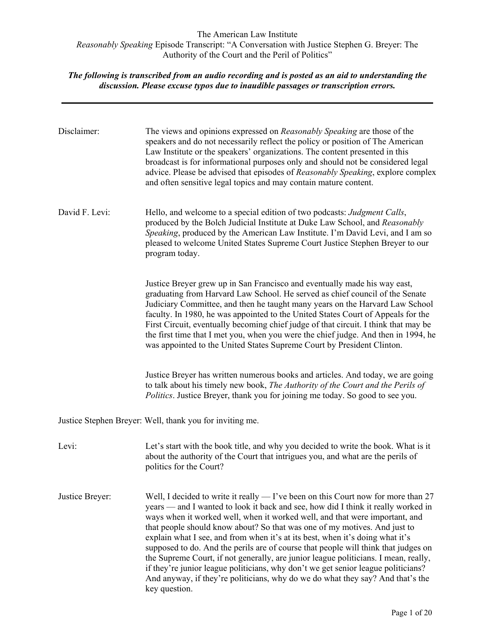| Disclaimer:     | The views and opinions expressed on Reasonably Speaking are those of the<br>speakers and do not necessarily reflect the policy or position of The American<br>Law Institute or the speakers' organizations. The content presented in this<br>broadcast is for informational purposes only and should not be considered legal<br>advice. Please be advised that episodes of Reasonably Speaking, explore complex<br>and often sensitive legal topics and may contain mature content.                                                                                                                                                                                                                                                                                                        |
|-----------------|--------------------------------------------------------------------------------------------------------------------------------------------------------------------------------------------------------------------------------------------------------------------------------------------------------------------------------------------------------------------------------------------------------------------------------------------------------------------------------------------------------------------------------------------------------------------------------------------------------------------------------------------------------------------------------------------------------------------------------------------------------------------------------------------|
| David F. Levi:  | Hello, and welcome to a special edition of two podcasts: Judgment Calls,<br>produced by the Bolch Judicial Institute at Duke Law School, and Reasonably<br>Speaking, produced by the American Law Institute. I'm David Levi, and I am so<br>pleased to welcome United States Supreme Court Justice Stephen Breyer to our<br>program today.                                                                                                                                                                                                                                                                                                                                                                                                                                                 |
|                 | Justice Breyer grew up in San Francisco and eventually made his way east,<br>graduating from Harvard Law School. He served as chief council of the Senate<br>Judiciary Committee, and then he taught many years on the Harvard Law School<br>faculty. In 1980, he was appointed to the United States Court of Appeals for the<br>First Circuit, eventually becoming chief judge of that circuit. I think that may be<br>the first time that I met you, when you were the chief judge. And then in 1994, he<br>was appointed to the United States Supreme Court by President Clinton.                                                                                                                                                                                                       |
|                 | Justice Breyer has written numerous books and articles. And today, we are going<br>to talk about his timely new book, The Authority of the Court and the Perils of<br>Politics. Justice Breyer, thank you for joining me today. So good to see you.                                                                                                                                                                                                                                                                                                                                                                                                                                                                                                                                        |
|                 | Justice Stephen Breyer: Well, thank you for inviting me.                                                                                                                                                                                                                                                                                                                                                                                                                                                                                                                                                                                                                                                                                                                                   |
| Levi:           | Let's start with the book title, and why you decided to write the book. What is it<br>about the authority of the Court that intrigues you, and what are the perils of<br>politics for the Court?                                                                                                                                                                                                                                                                                                                                                                                                                                                                                                                                                                                           |
| Justice Breyer: | Well, I decided to write it really $-$ I've been on this Court now for more than 27<br>years — and I wanted to look it back and see, how did I think it really worked in<br>ways when it worked well, when it worked well, and that were important, and<br>that people should know about? So that was one of my motives. And just to<br>explain what I see, and from when it's at its best, when it's doing what it's<br>supposed to do. And the perils are of course that people will think that judges on<br>the Supreme Court, if not generally, are junior league politicians. I mean, really,<br>if they're junior league politicians, why don't we get senior league politicians?<br>And anyway, if they're politicians, why do we do what they say? And that's the<br>key question. |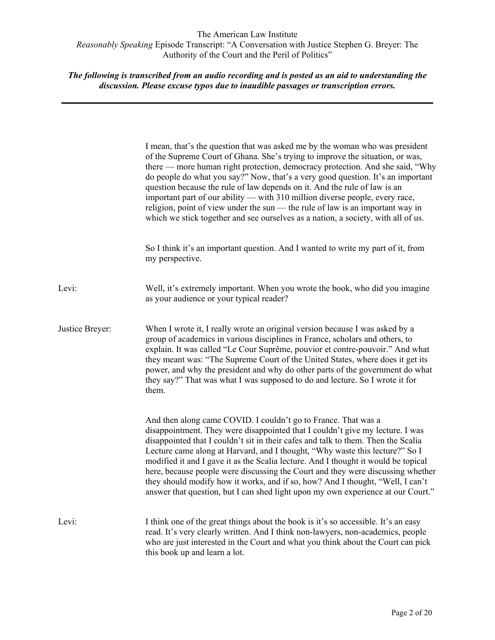|                 | I mean, that's the question that was asked me by the woman who was president<br>of the Supreme Court of Ghana. She's trying to improve the situation, or was,<br>there — more human right protection, democracy protection. And she said, "Why<br>do people do what you say?" Now, that's a very good question. It's an important<br>question because the rule of law depends on it. And the rule of law is an<br>important part of our ability — with 310 million diverse people, every race,<br>religion, point of view under the sun — the rule of law is an important way in<br>which we stick together and see ourselves as a nation, a society, with all of us. |
|-----------------|-----------------------------------------------------------------------------------------------------------------------------------------------------------------------------------------------------------------------------------------------------------------------------------------------------------------------------------------------------------------------------------------------------------------------------------------------------------------------------------------------------------------------------------------------------------------------------------------------------------------------------------------------------------------------|
|                 | So I think it's an important question. And I wanted to write my part of it, from<br>my perspective.                                                                                                                                                                                                                                                                                                                                                                                                                                                                                                                                                                   |
| Levi:           | Well, it's extremely important. When you wrote the book, who did you imagine<br>as your audience or your typical reader?                                                                                                                                                                                                                                                                                                                                                                                                                                                                                                                                              |
| Justice Breyer: | When I wrote it, I really wrote an original version because I was asked by a<br>group of academics in various disciplines in France, scholars and others, to<br>explain. It was called "Le Cour Suprême, pouvior et contre-pouvoir." And what<br>they meant was: "The Supreme Court of the United States, where does it get its<br>power, and why the president and why do other parts of the government do what<br>they say?" That was what I was supposed to do and lecture. So I wrote it for<br>them.                                                                                                                                                             |
|                 | And then along came COVID. I couldn't go to France. That was a<br>disappointment. They were disappointed that I couldn't give my lecture. I was<br>disappointed that I couldn't sit in their cafes and talk to them. Then the Scalia<br>Lecture came along at Harvard, and I thought, "Why waste this lecture?" So I<br>modified it and I gave it as the Scalia lecture. And I thought it would be topical<br>here, because people were discussing the Court and they were discussing whether<br>they should modify how it works, and if so, how? And I thought, "Well, I can't<br>answer that question, but I can shed light upon my own experience at our Court."   |
| Levi:           | I think one of the great things about the book is it's so accessible. It's an easy<br>read. It's very clearly written. And I think non-lawyers, non-academics, people<br>who are just interested in the Court and what you think about the Court can pick<br>this book up and learn a lot.                                                                                                                                                                                                                                                                                                                                                                            |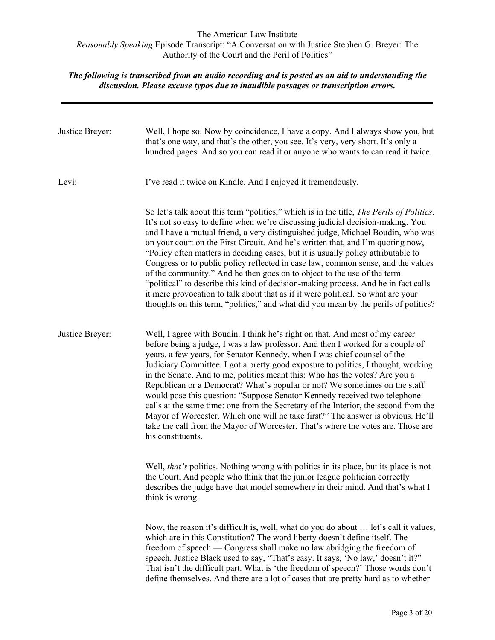| Justice Breyer: | Well, I hope so. Now by coincidence, I have a copy. And I always show you, but<br>that's one way, and that's the other, you see. It's very, very short. It's only a<br>hundred pages. And so you can read it or anyone who wants to can read it twice.                                                                                                                                                                                                                                                                                                                                                                                                                                                                                                                                                                                                                |
|-----------------|-----------------------------------------------------------------------------------------------------------------------------------------------------------------------------------------------------------------------------------------------------------------------------------------------------------------------------------------------------------------------------------------------------------------------------------------------------------------------------------------------------------------------------------------------------------------------------------------------------------------------------------------------------------------------------------------------------------------------------------------------------------------------------------------------------------------------------------------------------------------------|
| Levi:           | I've read it twice on Kindle. And I enjoyed it tremendously.                                                                                                                                                                                                                                                                                                                                                                                                                                                                                                                                                                                                                                                                                                                                                                                                          |
|                 | So let's talk about this term "politics," which is in the title, The Perils of Politics.<br>It's not so easy to define when we're discussing judicial decision-making. You<br>and I have a mutual friend, a very distinguished judge, Michael Boudin, who was<br>on your court on the First Circuit. And he's written that, and I'm quoting now,<br>"Policy often matters in deciding cases, but it is usually policy attributable to<br>Congress or to public policy reflected in case law, common sense, and the values<br>of the community." And he then goes on to object to the use of the term<br>"political" to describe this kind of decision-making process. And he in fact calls<br>it mere provocation to talk about that as if it were political. So what are your<br>thoughts on this term, "politics," and what did you mean by the perils of politics? |
| Justice Breyer: | Well, I agree with Boudin. I think he's right on that. And most of my career<br>before being a judge, I was a law professor. And then I worked for a couple of<br>years, a few years, for Senator Kennedy, when I was chief counsel of the<br>Judiciary Committee. I got a pretty good exposure to politics, I thought, working<br>in the Senate. And to me, politics meant this: Who has the votes? Are you a<br>Republican or a Democrat? What's popular or not? We sometimes on the staff<br>would pose this question: "Suppose Senator Kennedy received two telephone<br>calls at the same time: one from the Secretary of the Interior, the second from the<br>Mayor of Worcester. Which one will he take first?" The answer is obvious. He'll<br>take the call from the Mayor of Worcester. That's where the votes are. Those are<br>his constituents.          |
|                 | Well, that's politics. Nothing wrong with politics in its place, but its place is not<br>the Court. And people who think that the junior league politician correctly<br>describes the judge have that model somewhere in their mind. And that's what I<br>think is wrong.                                                                                                                                                                                                                                                                                                                                                                                                                                                                                                                                                                                             |
|                 | Now, the reason it's difficult is, well, what do you do about  let's call it values,<br>which are in this Constitution? The word liberty doesn't define itself. The<br>freedom of speech — Congress shall make no law abridging the freedom of<br>speech. Justice Black used to say, "That's easy. It says, 'No law,' doesn't it?"<br>That isn't the difficult part. What is 'the freedom of speech?' Those words don't<br>define themselves. And there are a lot of cases that are pretty hard as to whether                                                                                                                                                                                                                                                                                                                                                         |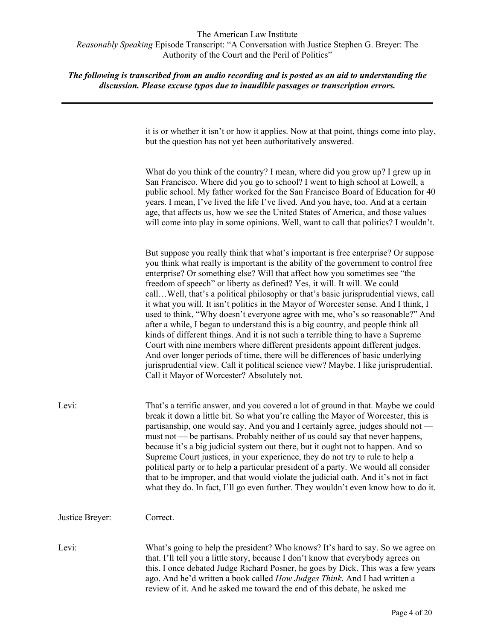# *The following is transcribed from an audio recording and is posted as an aid to understanding the discussion. Please excuse typos due to inaudible passages or transcription errors.*

it is or whether it isn't or how it applies. Now at that point, things come into play, but the question has not yet been authoritatively answered.

What do you think of the country? I mean, where did you grow up? I grew up in San Francisco. Where did you go to school? I went to high school at Lowell, a public school. My father worked for the San Francisco Board of Education for 40 years. I mean, I've lived the life I've lived. And you have, too. And at a certain age, that affects us, how we see the United States of America, and those values will come into play in some opinions. Well, want to call that politics? I wouldn't.

But suppose you really think that what's important is free enterprise? Or suppose you think what really is important is the ability of the government to control free enterprise? Or something else? Will that affect how you sometimes see "the freedom of speech" or liberty as defined? Yes, it will. It will. We could call…Well, that's a political philosophy or that's basic jurisprudential views, call it what you will. It isn't politics in the Mayor of Worcester sense. And I think, I used to think, "Why doesn't everyone agree with me, who's so reasonable?" And after a while, I began to understand this is a big country, and people think all kinds of different things. And it is not such a terrible thing to have a Supreme Court with nine members where different presidents appoint different judges. And over longer periods of time, there will be differences of basic underlying jurisprudential view. Call it political science view? Maybe. I like jurisprudential. Call it Mayor of Worcester? Absolutely not.

| Levi: | That's a terrific answer, and you covered a lot of ground in that. Maybe we could   |
|-------|-------------------------------------------------------------------------------------|
|       | break it down a little bit. So what you're calling the Mayor of Worcester, this is  |
|       | partisanship, one would say. And you and I certainly agree, judges should not —     |
|       | must not — be partisans. Probably neither of us could say that never happens,       |
|       | because it's a big judicial system out there, but it ought not to happen. And so    |
|       | Supreme Court justices, in your experience, they do not try to rule to help a       |
|       | political party or to help a particular president of a party. We would all consider |
|       | that to be improper, and that would violate the judicial oath. And it's not in fact |
|       | what they do. In fact, I'll go even further. They wouldn't even know how to do it.  |

Justice Breyer: Correct.

Levi: What's going to help the president? Who knows? It's hard to say. So we agree on that. I'll tell you a little story, because I don't know that everybody agrees on this. I once debated Judge Richard Posner, he goes by Dick. This was a few years ago. And he'd written a book called *How Judges Think*. And I had written a review of it. And he asked me toward the end of this debate, he asked me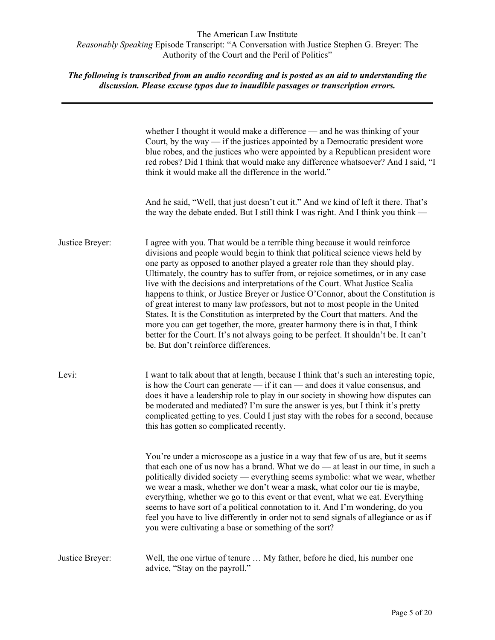|                 | whether I thought it would make a difference — and he was thinking of your<br>Court, by the way $-$ if the justices appointed by a Democratic president wore<br>blue robes, and the justices who were appointed by a Republican president wore<br>red robes? Did I think that would make any difference whatsoever? And I said, "I<br>think it would make all the difference in the world."                                                                                                                                                                                                                                                                                                                                                                                                                                                                                                      |
|-----------------|--------------------------------------------------------------------------------------------------------------------------------------------------------------------------------------------------------------------------------------------------------------------------------------------------------------------------------------------------------------------------------------------------------------------------------------------------------------------------------------------------------------------------------------------------------------------------------------------------------------------------------------------------------------------------------------------------------------------------------------------------------------------------------------------------------------------------------------------------------------------------------------------------|
|                 | And he said, "Well, that just doesn't cut it." And we kind of left it there. That's<br>the way the debate ended. But I still think I was right. And I think you think —                                                                                                                                                                                                                                                                                                                                                                                                                                                                                                                                                                                                                                                                                                                          |
| Justice Breyer: | I agree with you. That would be a terrible thing because it would reinforce<br>divisions and people would begin to think that political science views held by<br>one party as opposed to another played a greater role than they should play.<br>Ultimately, the country has to suffer from, or rejoice sometimes, or in any case<br>live with the decisions and interpretations of the Court. What Justice Scalia<br>happens to think, or Justice Breyer or Justice O'Connor, about the Constitution is<br>of great interest to many law professors, but not to most people in the United<br>States. It is the Constitution as interpreted by the Court that matters. And the<br>more you can get together, the more, greater harmony there is in that, I think<br>better for the Court. It's not always going to be perfect. It shouldn't be. It can't<br>be. But don't reinforce differences. |
| Levi:           | I want to talk about that at length, because I think that's such an interesting topic,<br>is how the Court can generate $-$ if it can $-$ and does it value consensus, and<br>does it have a leadership role to play in our society in showing how disputes can<br>be moderated and mediated? I'm sure the answer is yes, but I think it's pretty<br>complicated getting to yes. Could I just stay with the robes for a second, because<br>this has gotten so complicated recently.                                                                                                                                                                                                                                                                                                                                                                                                              |
|                 | You're under a microscope as a justice in a way that few of us are, but it seems<br>that each one of us now has a brand. What we do — at least in our time, in such a<br>politically divided society — everything seems symbolic: what we wear, whether<br>we wear a mask, whether we don't wear a mask, what color our tie is maybe,<br>everything, whether we go to this event or that event, what we eat. Everything<br>seems to have sort of a political connotation to it. And I'm wondering, do you<br>feel you have to live differently in order not to send signals of allegiance or as if<br>you were cultivating a base or something of the sort?                                                                                                                                                                                                                                      |
| Justice Breyer: | Well, the one virtue of tenure  My father, before he died, his number one<br>advice, "Stay on the payroll."                                                                                                                                                                                                                                                                                                                                                                                                                                                                                                                                                                                                                                                                                                                                                                                      |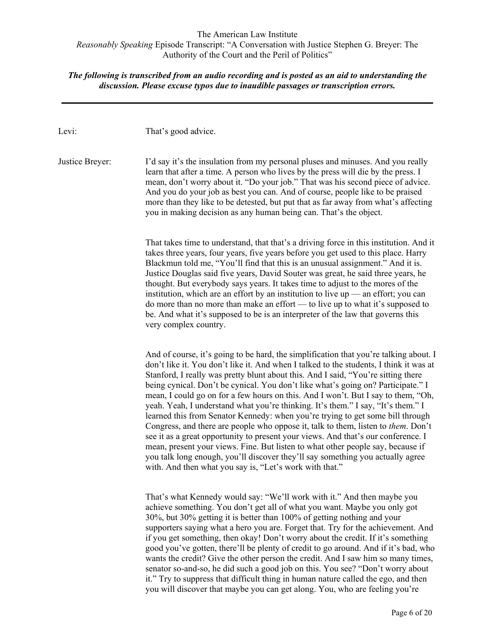# *The following is transcribed from an audio recording and is posted as an aid to understanding the discussion. Please excuse typos due to inaudible passages or transcription errors.*

| Levi:           | That's good advice.                                                                                                                                                                                                                                                                                                                                                                                                                                                                                                                                                                                                                                                                                                                                                                                                                                                                                                                                                                                                           |
|-----------------|-------------------------------------------------------------------------------------------------------------------------------------------------------------------------------------------------------------------------------------------------------------------------------------------------------------------------------------------------------------------------------------------------------------------------------------------------------------------------------------------------------------------------------------------------------------------------------------------------------------------------------------------------------------------------------------------------------------------------------------------------------------------------------------------------------------------------------------------------------------------------------------------------------------------------------------------------------------------------------------------------------------------------------|
| Justice Breyer: | I'd say it's the insulation from my personal pluses and minuses. And you really<br>learn that after a time. A person who lives by the press will die by the press. I<br>mean, don't worry about it. "Do your job." That was his second piece of advice.<br>And you do your job as best you can. And of course, people like to be praised<br>more than they like to be detested, but put that as far away from what's affecting<br>you in making decision as any human being can. That's the object.                                                                                                                                                                                                                                                                                                                                                                                                                                                                                                                           |
|                 | That takes time to understand, that that's a driving force in this institution. And it<br>takes three years, four years, five years before you get used to this place. Harry<br>Blackmun told me, "You'll find that this is an unusual assignment." And it is.<br>Justice Douglas said five years, David Souter was great, he said three years, he<br>thought. But everybody says years. It takes time to adjust to the mores of the<br>institution, which are an effort by an institution to live $up$ — an effort; you can<br>do more than no more than make an effort — to live up to what it's supposed to<br>be. And what it's supposed to be is an interpreter of the law that governs this<br>very complex country.                                                                                                                                                                                                                                                                                                    |
|                 | And of course, it's going to be hard, the simplification that you're talking about. I<br>don't like it. You don't like it. And when I talked to the students, I think it was at<br>Stanford, I really was pretty blunt about this. And I said, "You're sitting there<br>being cynical. Don't be cynical. You don't like what's going on? Participate." I<br>mean, I could go on for a few hours on this. And I won't. But I say to them, "Oh,<br>yeah. Yeah, I understand what you're thinking. It's them." I say, "It's them." I<br>learned this from Senator Kennedy: when you're trying to get some bill through<br>Congress, and there are people who oppose it, talk to them, listen to them. Don't<br>see it as a great opportunity to present your views. And that's our conference. I<br>mean, present your views. Fine. But listen to what other people say, because if<br>you talk long enough, you'll discover they'll say something you actually agree<br>with. And then what you say is, "Let's work with that." |
|                 | That's what Kennedy would say: "We'll work with it." And then maybe you<br>achieve something. You don't get all of what you want. Maybe you only got<br>30%, but 30% getting it is better than 100% of getting nothing and your<br>supporters saying what a hero you are. Forget that. Try for the achievement. And<br>if you get something, then okay! Don't worry about the credit. If it's something<br>good you've gotten, there'll be plenty of credit to go around. And if it's bad, who<br>wants the credit? Give the other person the credit. And I saw him so many times,<br>senator so-and-so, he did such a good job on this. You see? "Don't worry about<br>it." Try to suppress that difficult thing in human nature called the ego, and then                                                                                                                                                                                                                                                                    |

you will discover that maybe you can get along. You, who are feeling you're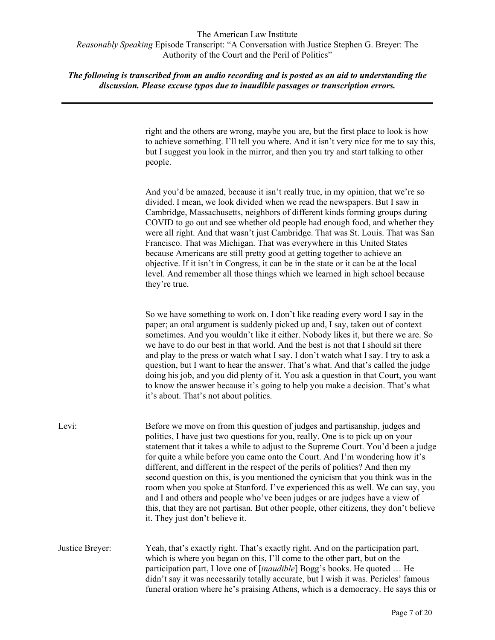*The following is transcribed from an audio recording and is posted as an aid to understanding the discussion. Please excuse typos due to inaudible passages or transcription errors.*

> right and the others are wrong, maybe you are, but the first place to look is how to achieve something. I'll tell you where. And it isn't very nice for me to say this, but I suggest you look in the mirror, and then you try and start talking to other people.

> And you'd be amazed, because it isn't really true, in my opinion, that we're so divided. I mean, we look divided when we read the newspapers. But I saw in Cambridge, Massachusetts, neighbors of different kinds forming groups during COVID to go out and see whether old people had enough food, and whether they were all right. And that wasn't just Cambridge. That was St. Louis. That was San Francisco. That was Michigan. That was everywhere in this United States because Americans are still pretty good at getting together to achieve an objective. If it isn't in Congress, it can be in the state or it can be at the local level. And remember all those things which we learned in high school because they're true.

> So we have something to work on. I don't like reading every word I say in the paper; an oral argument is suddenly picked up and, I say, taken out of context sometimes. And you wouldn't like it either. Nobody likes it, but there we are. So we have to do our best in that world. And the best is not that I should sit there and play to the press or watch what I say. I don't watch what I say. I try to ask a question, but I want to hear the answer. That's what. And that's called the judge doing his job, and you did plenty of it. You ask a question in that Court, you want to know the answer because it's going to help you make a decision. That's what it's about. That's not about politics.

| Levi:           | Before we move on from this question of judges and partisanship, judges and<br>politics, I have just two questions for you, really. One is to pick up on your<br>statement that it takes a while to adjust to the Supreme Court. You'd been a judge<br>for quite a while before you came onto the Court. And I'm wondering how it's<br>different, and different in the respect of the perils of politics? And then my<br>second question on this, is you mentioned the cynicism that you think was in the<br>room when you spoke at Stanford. I've experienced this as well. We can say, you<br>and I and others and people who've been judges or are judges have a view of<br>this, that they are not partisan. But other people, other citizens, they don't believe<br>it. They just don't believe it. |
|-----------------|----------------------------------------------------------------------------------------------------------------------------------------------------------------------------------------------------------------------------------------------------------------------------------------------------------------------------------------------------------------------------------------------------------------------------------------------------------------------------------------------------------------------------------------------------------------------------------------------------------------------------------------------------------------------------------------------------------------------------------------------------------------------------------------------------------|
| Justice Breyer: | Yeah, that's exactly right. That's exactly right. And on the participation part,<br>which is where you began on this, I'll come to the other part, but on the<br>participation part, I love one of [ <i>inaudible</i> ] Bogg's books. He quoted  He<br>didn't say it was necessarily totally accurate, but I wish it was. Pericles' famous<br>funeral oration where he's praising Athens, which is a democracy. He says this or                                                                                                                                                                                                                                                                                                                                                                          |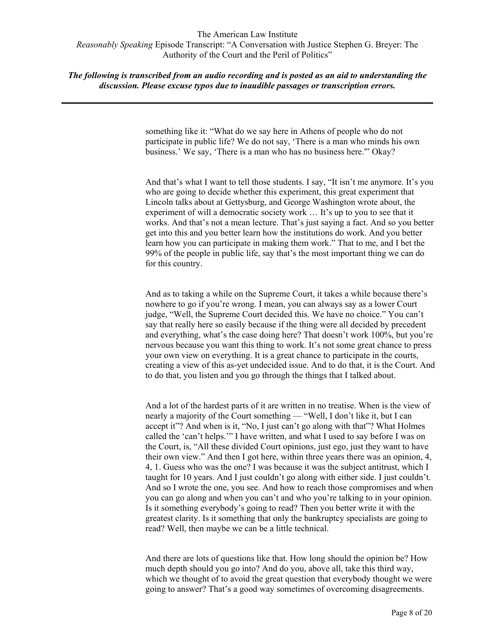*The following is transcribed from an audio recording and is posted as an aid to understanding the discussion. Please excuse typos due to inaudible passages or transcription errors.*

> something like it: "What do we say here in Athens of people who do not participate in public life? We do not say, 'There is a man who minds his own business.' We say, 'There is a man who has no business here.'" Okay?

And that's what I want to tell those students. I say, "It isn't me anymore. It's you who are going to decide whether this experiment, this great experiment that Lincoln talks about at Gettysburg, and George Washington wrote about, the experiment of will a democratic society work … It's up to you to see that it works. And that's not a mean lecture. That's just saying a fact. And so you better get into this and you better learn how the institutions do work. And you better learn how you can participate in making them work." That to me, and I bet the 99% of the people in public life, say that's the most important thing we can do for this country.

And as to taking a while on the Supreme Court, it takes a while because there's nowhere to go if you're wrong. I mean, you can always say as a lower Court judge, "Well, the Supreme Court decided this. We have no choice." You can't say that really here so easily because if the thing were all decided by precedent and everything, what's the case doing here? That doesn't work 100%, but you're nervous because you want this thing to work. It's not some great chance to press your own view on everything. It is a great chance to participate in the courts, creating a view of this as-yet undecided issue. And to do that, it is the Court. And to do that, you listen and you go through the things that I talked about.

And a lot of the hardest parts of it are written in no treatise. When is the view of nearly a majority of the Court something — "Well, I don't like it, but I can accept it"? And when is it, "No, I just can't go along with that"? What Holmes called the 'can't helps.'" I have written, and what I used to say before I was on the Court, is, "All these divided Court opinions, just ego, just they want to have their own view." And then I got here, within three years there was an opinion, 4, 4, 1. Guess who was the one? I was because it was the subject antitrust, which I taught for 10 years. And I just couldn't go along with either side. I just couldn't. And so I wrote the one, you see. And how to reach those compromises and when you can go along and when you can't and who you're talking to in your opinion. Is it something everybody's going to read? Then you better write it with the greatest clarity. Is it something that only the bankruptcy specialists are going to read? Well, then maybe we can be a little technical.

And there are lots of questions like that. How long should the opinion be? How much depth should you go into? And do you, above all, take this third way, which we thought of to avoid the great question that everybody thought we were going to answer? That's a good way sometimes of overcoming disagreements.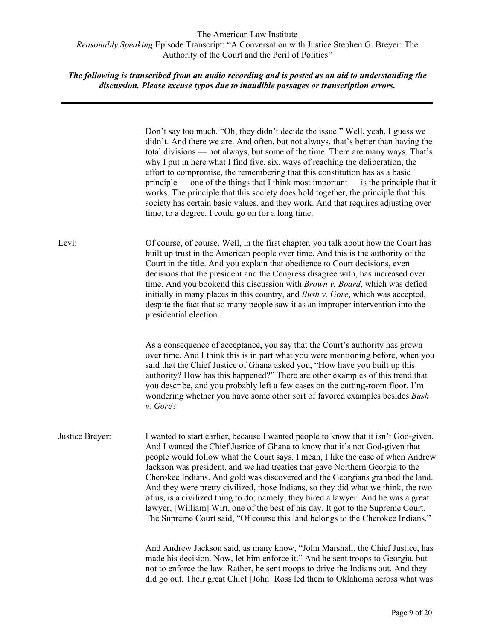|                 | Don't say too much. "Oh, they didn't decide the issue." Well, yeah, I guess we<br>didn't. And there we are. And often, but not always, that's better than having the<br>total divisions — not always, but some of the time. There are many ways. That's<br>why I put in here what I find five, six, ways of reaching the deliberation, the<br>effort to compromise, the remembering that this constitution has as a basic<br>$principle$ — one of the things that I think most important — is the principle that it<br>works. The principle that this society does hold together, the principle that this<br>society has certain basic values, and they work. And that requires adjusting over<br>time, to a degree. I could go on for a long time.                      |
|-----------------|--------------------------------------------------------------------------------------------------------------------------------------------------------------------------------------------------------------------------------------------------------------------------------------------------------------------------------------------------------------------------------------------------------------------------------------------------------------------------------------------------------------------------------------------------------------------------------------------------------------------------------------------------------------------------------------------------------------------------------------------------------------------------|
| Levi:           | Of course, of course. Well, in the first chapter, you talk about how the Court has<br>built up trust in the American people over time. And this is the authority of the<br>Court in the title. And you explain that obedience to Court decisions, even<br>decisions that the president and the Congress disagree with, has increased over<br>time. And you bookend this discussion with Brown v. Board, which was defied<br>initially in many places in this country, and Bush v. Gore, which was accepted,<br>despite the fact that so many people saw it as an improper intervention into the<br>presidential election.                                                                                                                                                |
|                 | As a consequence of acceptance, you say that the Court's authority has grown<br>over time. And I think this is in part what you were mentioning before, when you<br>said that the Chief Justice of Ghana asked you, "How have you built up this<br>authority? How has this happened?" There are other examples of this trend that<br>you describe, and you probably left a few cases on the cutting-room floor. I'm<br>wondering whether you have some other sort of favored examples besides Bush<br>v. Gore?                                                                                                                                                                                                                                                           |
| Justice Breyer: | I wanted to start earlier, because I wanted people to know that it isn't God-given.<br>And I wanted the Chief Justice of Ghana to know that it's not God-given that<br>people would follow what the Court says. I mean, I like the case of when Andrew<br>Jackson was president, and we had treaties that gave Northern Georgia to the<br>Cherokee Indians. And gold was discovered and the Georgians grabbed the land.<br>And they were pretty civilized, those Indians, so they did what we think, the two<br>of us, is a civilized thing to do; namely, they hired a lawyer. And he was a great<br>lawyer, [William] Wirt, one of the best of his day. It got to the Supreme Court.<br>The Supreme Court said, "Of course this land belongs to the Cherokee Indians." |
|                 | And Andrew Jackson said, as many know, "John Marshall, the Chief Justice, has<br>made his decision. Now, let him enforce it." And he sent troops to Georgia, but<br>not to enforce the law. Rather, he sent troops to drive the Indians out. And they<br>did go out. Their great Chief [John] Ross led them to Oklahoma across what was                                                                                                                                                                                                                                                                                                                                                                                                                                  |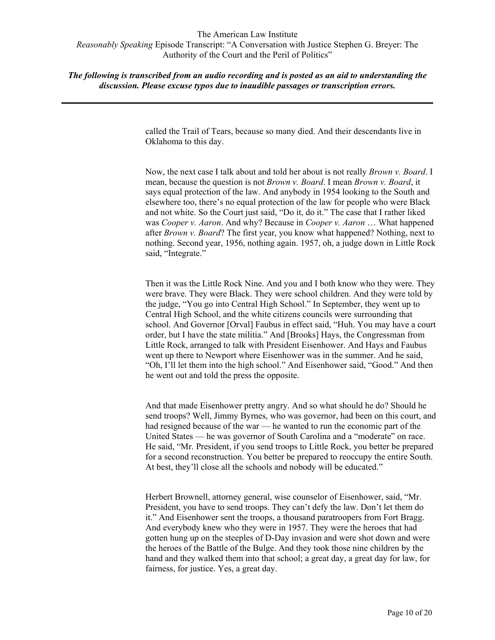*The following is transcribed from an audio recording and is posted as an aid to understanding the discussion. Please excuse typos due to inaudible passages or transcription errors.*

> called the Trail of Tears, because so many died. And their descendants live in Oklahoma to this day.

Now, the next case I talk about and told her about is not really *Brown v. Board*. I mean, because the question is not *Brown v. Board*. I mean *Brown v. Board*, it says equal protection of the law. And anybody in 1954 looking to the South and elsewhere too, there's no equal protection of the law for people who were Black and not white. So the Court just said, "Do it, do it." The case that I rather liked was *Cooper v. Aaron*. And why? Because in *Cooper v. Aaron* … What happened after *Brown v. Board*? The first year, you know what happened? Nothing, next to nothing. Second year, 1956, nothing again. 1957, oh, a judge down in Little Rock said, "Integrate."

Then it was the Little Rock Nine. And you and I both know who they were. They were brave. They were Black. They were school children. And they were told by the judge, "You go into Central High School." In September, they went up to Central High School, and the white citizens councils were surrounding that school. And Governor [Orval] Faubus in effect said, "Huh. You may have a court order, but I have the state militia." And [Brooks] Hays, the Congressman from Little Rock, arranged to talk with President Eisenhower. And Hays and Faubus went up there to Newport where Eisenhower was in the summer. And he said, "Oh, I'll let them into the high school." And Eisenhower said, "Good." And then he went out and told the press the opposite.

And that made Eisenhower pretty angry. And so what should he do? Should he send troops? Well, Jimmy Byrnes, who was governor, had been on this court, and had resigned because of the war — he wanted to run the economic part of the United States — he was governor of South Carolina and a "moderate" on race. He said, "Mr. President, if you send troops to Little Rock, you better be prepared for a second reconstruction. You better be prepared to reoccupy the entire South. At best, they'll close all the schools and nobody will be educated."

Herbert Brownell, attorney general, wise counselor of Eisenhower, said, "Mr. President, you have to send troops. They can't defy the law. Don't let them do it." And Eisenhower sent the troops, a thousand paratroopers from Fort Bragg. And everybody knew who they were in 1957. They were the heroes that had gotten hung up on the steeples of D-Day invasion and were shot down and were the heroes of the Battle of the Bulge. And they took those nine children by the hand and they walked them into that school; a great day, a great day for law, for fairness, for justice. Yes, a great day.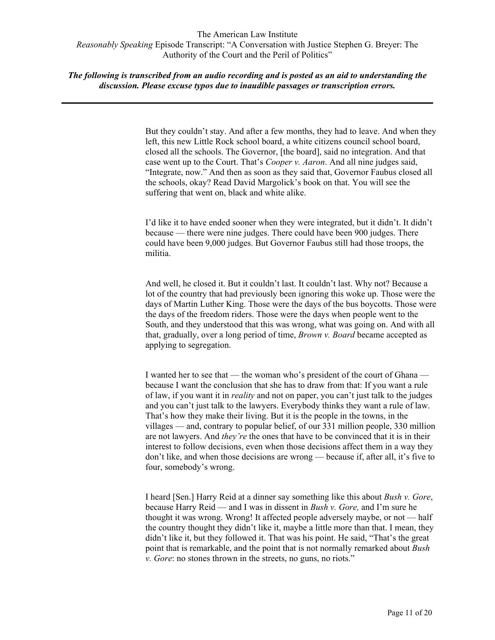# *The following is transcribed from an audio recording and is posted as an aid to understanding the discussion. Please excuse typos due to inaudible passages or transcription errors.*

But they couldn't stay. And after a few months, they had to leave. And when they left, this new Little Rock school board, a white citizens council school board, closed all the schools. The Governor, [the board], said no integration. And that case went up to the Court. That's *Cooper v. Aaron*. And all nine judges said, "Integrate, now." And then as soon as they said that, Governor Faubus closed all the schools, okay? Read David Margolick's book on that. You will see the suffering that went on, black and white alike.

I'd like it to have ended sooner when they were integrated, but it didn't. It didn't because — there were nine judges. There could have been 900 judges. There could have been 9,000 judges. But Governor Faubus still had those troops, the militia.

And well, he closed it. But it couldn't last. It couldn't last. Why not? Because a lot of the country that had previously been ignoring this woke up. Those were the days of Martin Luther King. Those were the days of the bus boycotts. Those were the days of the freedom riders. Those were the days when people went to the South, and they understood that this was wrong, what was going on. And with all that, gradually, over a long period of time, *Brown v. Board* became accepted as applying to segregation.

I wanted her to see that — the woman who's president of the court of Ghana because I want the conclusion that she has to draw from that: If you want a rule of law, if you want it in *reality* and not on paper, you can't just talk to the judges and you can't just talk to the lawyers. Everybody thinks they want a rule of law. That's how they make their living. But it is the people in the towns, in the villages — and, contrary to popular belief, of our 331 million people, 330 million are not lawyers. And *they're* the ones that have to be convinced that it is in their interest to follow decisions, even when those decisions affect them in a way they don't like, and when those decisions are wrong — because if, after all, it's five to four, somebody's wrong.

I heard [Sen.] Harry Reid at a dinner say something like this about *Bush v. Gore*, because Harry Reid — and I was in dissent in *Bush v. Gore,* and I'm sure he thought it was wrong. Wrong! It affected people adversely maybe, or not — half the country thought they didn't like it, maybe a little more than that. I mean, they didn't like it, but they followed it. That was his point. He said, "That's the great point that is remarkable, and the point that is not normally remarked about *Bush v. Gore*: no stones thrown in the streets, no guns, no riots."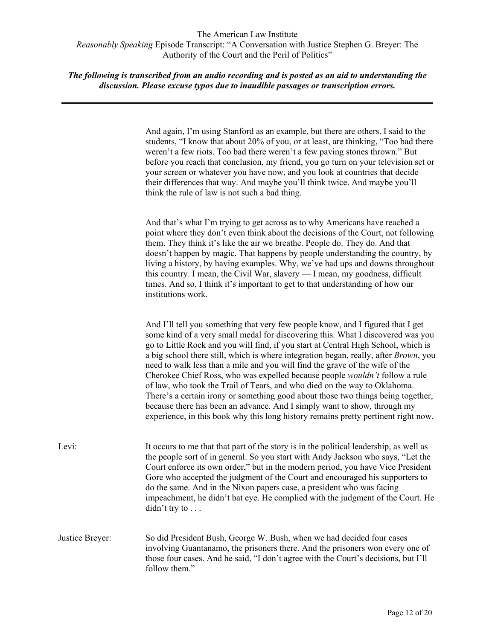|                 | And again, I'm using Stanford as an example, but there are others. I said to the<br>students, "I know that about 20% of you, or at least, are thinking, "Too bad there<br>weren't a few riots. Too bad there weren't a few paving stones thrown." But<br>before you reach that conclusion, my friend, you go turn on your television set or<br>your screen or whatever you have now, and you look at countries that decide<br>their differences that way. And maybe you'll think twice. And maybe you'll<br>think the rule of law is not such a bad thing.                                                                                                                                                                                                                                                                                                |
|-----------------|-----------------------------------------------------------------------------------------------------------------------------------------------------------------------------------------------------------------------------------------------------------------------------------------------------------------------------------------------------------------------------------------------------------------------------------------------------------------------------------------------------------------------------------------------------------------------------------------------------------------------------------------------------------------------------------------------------------------------------------------------------------------------------------------------------------------------------------------------------------|
|                 | And that's what I'm trying to get across as to why Americans have reached a<br>point where they don't even think about the decisions of the Court, not following<br>them. They think it's like the air we breathe. People do. They do. And that<br>doesn't happen by magic. That happens by people understanding the country, by<br>living a history, by having examples. Why, we've had ups and downs throughout<br>this country. I mean, the Civil War, slavery — I mean, my goodness, difficult<br>times. And so, I think it's important to get to that understanding of how our<br>institutions work.                                                                                                                                                                                                                                                 |
|                 | And I'll tell you something that very few people know, and I figured that I get<br>some kind of a very small medal for discovering this. What I discovered was you<br>go to Little Rock and you will find, if you start at Central High School, which is<br>a big school there still, which is where integration began, really, after Brown, you<br>need to walk less than a mile and you will find the grave of the wife of the<br>Cherokee Chief Ross, who was expelled because people <i>wouldn't</i> follow a rule<br>of law, who took the Trail of Tears, and who died on the way to Oklahoma.<br>There's a certain irony or something good about those two things being together,<br>because there has been an advance. And I simply want to show, through my<br>experience, in this book why this long history remains pretty pertinent right now. |
| Levi:           | It occurs to me that that part of the story is in the political leadership, as well as<br>the people sort of in general. So you start with Andy Jackson who says, "Let the<br>Court enforce its own order," but in the modern period, you have Vice President<br>Gore who accepted the judgment of the Court and encouraged his supporters to<br>do the same. And in the Nixon papers case, a president who was facing<br>impeachment, he didn't bat eye. He complied with the judgment of the Court. He<br>$\text{diam}$ 't try to $\ldots$                                                                                                                                                                                                                                                                                                              |
| Justice Breyer: | So did President Bush, George W. Bush, when we had decided four cases<br>involving Guantanamo, the prisoners there. And the prisoners won every one of<br>those four cases. And he said, "I don't agree with the Court's decisions, but I'll<br>follow them."                                                                                                                                                                                                                                                                                                                                                                                                                                                                                                                                                                                             |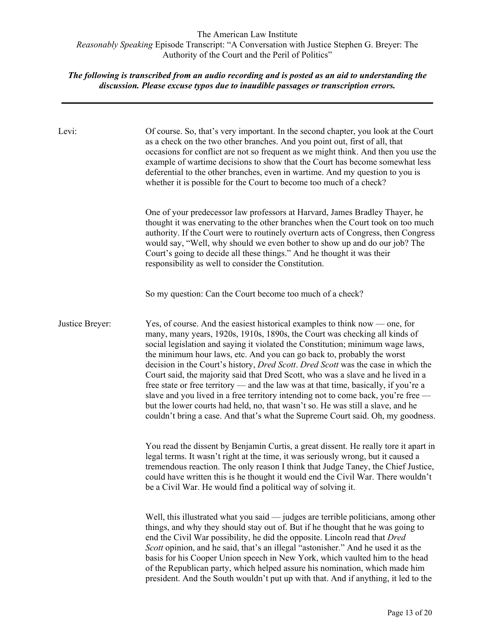| Levi:           | Of course. So, that's very important. In the second chapter, you look at the Court<br>as a check on the two other branches. And you point out, first of all, that<br>occasions for conflict are not so frequent as we might think. And then you use the<br>example of wartime decisions to show that the Court has become somewhat less<br>deferential to the other branches, even in wartime. And my question to you is<br>whether it is possible for the Court to become too much of a check?                                                                                                                                                                                                                                                                                                                                                         |
|-----------------|---------------------------------------------------------------------------------------------------------------------------------------------------------------------------------------------------------------------------------------------------------------------------------------------------------------------------------------------------------------------------------------------------------------------------------------------------------------------------------------------------------------------------------------------------------------------------------------------------------------------------------------------------------------------------------------------------------------------------------------------------------------------------------------------------------------------------------------------------------|
|                 | One of your predecessor law professors at Harvard, James Bradley Thayer, he<br>thought it was enervating to the other branches when the Court took on too much<br>authority. If the Court were to routinely overturn acts of Congress, then Congress<br>would say, "Well, why should we even bother to show up and do our job? The<br>Court's going to decide all these things." And he thought it was their<br>responsibility as well to consider the Constitution.                                                                                                                                                                                                                                                                                                                                                                                    |
|                 | So my question: Can the Court become too much of a check?                                                                                                                                                                                                                                                                                                                                                                                                                                                                                                                                                                                                                                                                                                                                                                                               |
| Justice Breyer: | Yes, of course. And the easiest historical examples to think now — one, for<br>many, many years, 1920s, 1910s, 1890s, the Court was checking all kinds of<br>social legislation and saying it violated the Constitution; minimum wage laws,<br>the minimum hour laws, etc. And you can go back to, probably the worst<br>decision in the Court's history, <i>Dred Scott. Dred Scott</i> was the case in which the<br>Court said, the majority said that Dred Scott, who was a slave and he lived in a<br>free state or free territory — and the law was at that time, basically, if you're a<br>slave and you lived in a free territory intending not to come back, you're free -<br>but the lower courts had held, no, that wasn't so. He was still a slave, and he<br>couldn't bring a case. And that's what the Supreme Court said. Oh, my goodness. |
|                 | You read the dissent by Benjamin Curtis, a great dissent. He really tore it apart in<br>legal terms. It wasn't right at the time, it was seriously wrong, but it caused a<br>tremendous reaction. The only reason I think that Judge Taney, the Chief Justice,<br>could have written this is he thought it would end the Civil War. There wouldn't<br>be a Civil War. He would find a political way of solving it.                                                                                                                                                                                                                                                                                                                                                                                                                                      |
|                 | Well, this illustrated what you said — judges are terrible politicians, among other<br>things, and why they should stay out of. But if he thought that he was going to<br>end the Civil War possibility, he did the opposite. Lincoln read that Dred<br>Scott opinion, and he said, that's an illegal "astonisher." And he used it as the<br>basis for his Cooper Union speech in New York, which vaulted him to the head<br>of the Republican party, which helped assure his nomination, which made him<br>president. And the South wouldn't put up with that. And if anything, it led to the                                                                                                                                                                                                                                                          |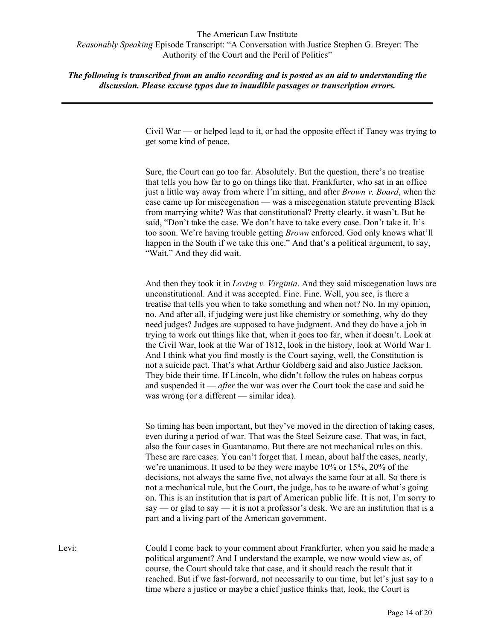*The following is transcribed from an audio recording and is posted as an aid to understanding the discussion. Please excuse typos due to inaudible passages or transcription errors.*

> Civil War — or helped lead to it, or had the opposite effect if Taney was trying to get some kind of peace.

> Sure, the Court can go too far. Absolutely. But the question, there's no treatise that tells you how far to go on things like that. Frankfurter, who sat in an office just a little way away from where I'm sitting, and after *Brown v. Board*, when the case came up for miscegenation — was a miscegenation statute preventing Black from marrying white? Was that constitutional? Pretty clearly, it wasn't. But he said, "Don't take the case. We don't have to take every case. Don't take it. It's too soon. We're having trouble getting *Brown* enforced. God only knows what'll happen in the South if we take this one." And that's a political argument, to say, "Wait." And they did wait.

> And then they took it in *Loving v. Virginia*. And they said miscegenation laws are unconstitutional. And it was accepted. Fine. Fine. Well, you see, is there a treatise that tells you when to take something and when not? No. In my opinion, no. And after all, if judging were just like chemistry or something, why do they need judges? Judges are supposed to have judgment. And they do have a job in trying to work out things like that, when it goes too far, when it doesn't. Look at the Civil War, look at the War of 1812, look in the history, look at World War I. And I think what you find mostly is the Court saying, well, the Constitution is not a suicide pact. That's what Arthur Goldberg said and also Justice Jackson. They bide their time. If Lincoln, who didn't follow the rules on habeas corpus and suspended it — *after* the war was over the Court took the case and said he was wrong (or a different — similar idea).

> So timing has been important, but they've moved in the direction of taking cases, even during a period of war. That was the Steel Seizure case. That was, in fact, also the four cases in Guantanamo. But there are not mechanical rules on this. These are rare cases. You can't forget that. I mean, about half the cases, nearly, we're unanimous. It used to be they were maybe 10% or 15%, 20% of the decisions, not always the same five, not always the same four at all. So there is not a mechanical rule, but the Court, the judge, has to be aware of what's going on. This is an institution that is part of American public life. It is not, I'm sorry to say — or glad to say — it is not a professor's desk. We are an institution that is a part and a living part of the American government.

Levi: Could I come back to your comment about Frankfurter, when you said he made a political argument? And I understand the example, we now would view as, of course, the Court should take that case, and it should reach the result that it reached. But if we fast-forward, not necessarily to our time, but let's just say to a time where a justice or maybe a chief justice thinks that, look, the Court is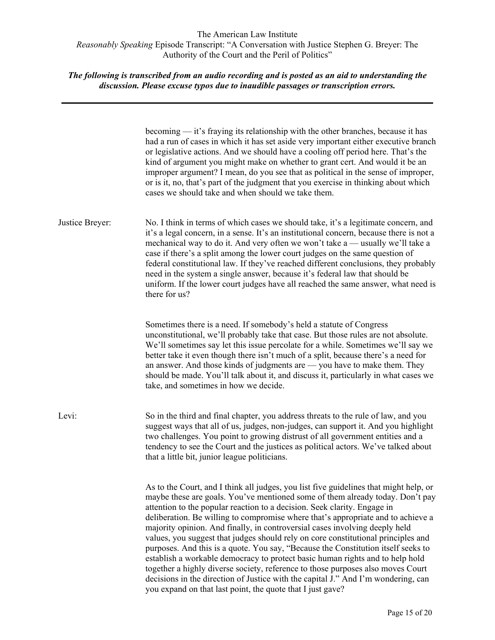|                 | becoming $-$ it's fraying its relationship with the other branches, because it has<br>had a run of cases in which it has set aside very important either executive branch<br>or legislative actions. And we should have a cooling off period here. That's the<br>kind of argument you might make on whether to grant cert. And would it be an<br>improper argument? I mean, do you see that as political in the sense of improper,<br>or is it, no, that's part of the judgment that you exercise in thinking about which<br>cases we should take and when should we take them.                                                                                                                                                                                                                                                                                                                                        |
|-----------------|------------------------------------------------------------------------------------------------------------------------------------------------------------------------------------------------------------------------------------------------------------------------------------------------------------------------------------------------------------------------------------------------------------------------------------------------------------------------------------------------------------------------------------------------------------------------------------------------------------------------------------------------------------------------------------------------------------------------------------------------------------------------------------------------------------------------------------------------------------------------------------------------------------------------|
| Justice Breyer: | No. I think in terms of which cases we should take, it's a legitimate concern, and<br>it's a legal concern, in a sense. It's an institutional concern, because there is not a<br>mechanical way to do it. And very often we won't take a — usually we'll take a<br>case if there's a split among the lower court judges on the same question of<br>federal constitutional law. If they've reached different conclusions, they probably<br>need in the system a single answer, because it's federal law that should be<br>uniform. If the lower court judges have all reached the same answer, what need is<br>there for us?                                                                                                                                                                                                                                                                                            |
|                 | Sometimes there is a need. If somebody's held a statute of Congress<br>unconstitutional, we'll probably take that case. But those rules are not absolute.<br>We'll sometimes say let this issue percolate for a while. Sometimes we'll say we<br>better take it even though there isn't much of a split, because there's a need for<br>an answer. And those kinds of judgments are — you have to make them. They<br>should be made. You'll talk about it, and discuss it, particularly in what cases we<br>take, and sometimes in how we decide.                                                                                                                                                                                                                                                                                                                                                                       |
| Levi:           | So in the third and final chapter, you address threats to the rule of law, and you<br>suggest ways that all of us, judges, non-judges, can support it. And you highlight<br>two challenges. You point to growing distrust of all government entities and a<br>tendency to see the Court and the justices as political actors. We've talked about<br>that a little bit, junior league politicians.                                                                                                                                                                                                                                                                                                                                                                                                                                                                                                                      |
|                 | As to the Court, and I think all judges, you list five guidelines that might help, or<br>maybe these are goals. You've mentioned some of them already today. Don't pay<br>attention to the popular reaction to a decision. Seek clarity. Engage in<br>deliberation. Be willing to compromise where that's appropriate and to achieve a<br>majority opinion. And finally, in controversial cases involving deeply held<br>values, you suggest that judges should rely on core constitutional principles and<br>purposes. And this is a quote. You say, "Because the Constitution itself seeks to<br>establish a workable democracy to protect basic human rights and to help hold<br>together a highly diverse society, reference to those purposes also moves Court<br>decisions in the direction of Justice with the capital J." And I'm wondering, can<br>you expand on that last point, the quote that I just gave? |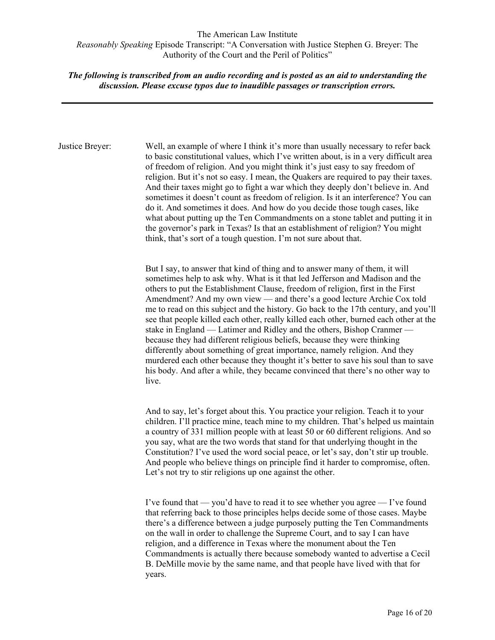# *The following is transcribed from an audio recording and is posted as an aid to understanding the discussion. Please excuse typos due to inaudible passages or transcription errors.*

Justice Breyer: Well, an example of where I think it's more than usually necessary to refer back to basic constitutional values, which I've written about, is in a very difficult area of freedom of religion. And you might think it's just easy to say freedom of religion. But it's not so easy. I mean, the Quakers are required to pay their taxes. And their taxes might go to fight a war which they deeply don't believe in. And sometimes it doesn't count as freedom of religion. Is it an interference? You can do it. And sometimes it does. And how do you decide those tough cases, like what about putting up the Ten Commandments on a stone tablet and putting it in the governor's park in Texas? Is that an establishment of religion? You might think, that's sort of a tough question. I'm not sure about that.

> But I say, to answer that kind of thing and to answer many of them, it will sometimes help to ask why. What is it that led Jefferson and Madison and the others to put the Establishment Clause, freedom of religion, first in the First Amendment? And my own view — and there's a good lecture Archie Cox told me to read on this subject and the history. Go back to the 17th century, and you'll see that people killed each other, really killed each other, burned each other at the stake in England — Latimer and Ridley and the others, Bishop Cranmer because they had different religious beliefs, because they were thinking differently about something of great importance, namely religion. And they murdered each other because they thought it's better to save his soul than to save his body. And after a while, they became convinced that there's no other way to live.

> And to say, let's forget about this. You practice your religion. Teach it to your children. I'll practice mine, teach mine to my children. That's helped us maintain a country of 331 million people with at least 50 or 60 different religions. And so you say, what are the two words that stand for that underlying thought in the Constitution? I've used the word social peace, or let's say, don't stir up trouble. And people who believe things on principle find it harder to compromise, often. Let's not try to stir religions up one against the other.

I've found that — you'd have to read it to see whether you agree — I've found that referring back to those principles helps decide some of those cases. Maybe there's a difference between a judge purposely putting the Ten Commandments on the wall in order to challenge the Supreme Court, and to say I can have religion, and a difference in Texas where the monument about the Ten Commandments is actually there because somebody wanted to advertise a Cecil B. DeMille movie by the same name, and that people have lived with that for years.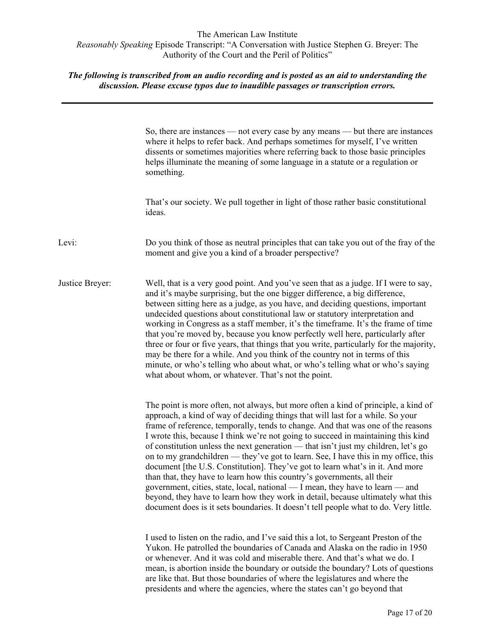|                 | So, there are instances — not every case by any means — but there are instances<br>where it helps to refer back. And perhaps sometimes for myself, I've written<br>dissents or sometimes majorities where referring back to those basic principles<br>helps illuminate the meaning of some language in a statute or a regulation or<br>something.                                                                                                                                                                                                                                                                                                                                                                                                                                                                                                                                                                                                  |
|-----------------|----------------------------------------------------------------------------------------------------------------------------------------------------------------------------------------------------------------------------------------------------------------------------------------------------------------------------------------------------------------------------------------------------------------------------------------------------------------------------------------------------------------------------------------------------------------------------------------------------------------------------------------------------------------------------------------------------------------------------------------------------------------------------------------------------------------------------------------------------------------------------------------------------------------------------------------------------|
|                 | That's our society. We pull together in light of those rather basic constitutional<br>ideas.                                                                                                                                                                                                                                                                                                                                                                                                                                                                                                                                                                                                                                                                                                                                                                                                                                                       |
| Levi:           | Do you think of those as neutral principles that can take you out of the fray of the<br>moment and give you a kind of a broader perspective?                                                                                                                                                                                                                                                                                                                                                                                                                                                                                                                                                                                                                                                                                                                                                                                                       |
| Justice Breyer: | Well, that is a very good point. And you've seen that as a judge. If I were to say,<br>and it's maybe surprising, but the one bigger difference, a big difference,<br>between sitting here as a judge, as you have, and deciding questions, important<br>undecided questions about constitutional law or statutory interpretation and<br>working in Congress as a staff member, it's the timeframe. It's the frame of time<br>that you're moved by, because you know perfectly well here, particularly after<br>three or four or five years, that things that you write, particularly for the majority,<br>may be there for a while. And you think of the country not in terms of this<br>minute, or who's telling who about what, or who's telling what or who's saying<br>what about whom, or whatever. That's not the point.                                                                                                                    |
|                 | The point is more often, not always, but more often a kind of principle, a kind of<br>approach, a kind of way of deciding things that will last for a while. So your<br>frame of reference, temporally, tends to change. And that was one of the reasons<br>I wrote this, because I think we're not going to succeed in maintaining this kind<br>of constitution unless the next generation — that isn't just my children, let's go<br>on to my grandchildren — they've got to learn. See, I have this in my office, this<br>document [the U.S. Constitution]. They've got to learn what's in it. And more<br>than that, they have to learn how this country's governments, all their<br>government, cities, state, local, national - I mean, they have to learn - and<br>beyond, they have to learn how they work in detail, because ultimately what this<br>document does is it sets boundaries. It doesn't tell people what to do. Very little. |
|                 | I used to listen on the radio, and I've said this a lot, to Sergeant Preston of the<br>Yukon. He patrolled the boundaries of Canada and Alaska on the radio in 1950<br>or whenever. And it was cold and miserable there. And that's what we do. I<br>mean, is abortion inside the boundary or outside the boundary? Lots of questions<br>are like that. But those boundaries of where the legislatures and where the<br>presidents and where the agencies, where the states can't go beyond that                                                                                                                                                                                                                                                                                                                                                                                                                                                   |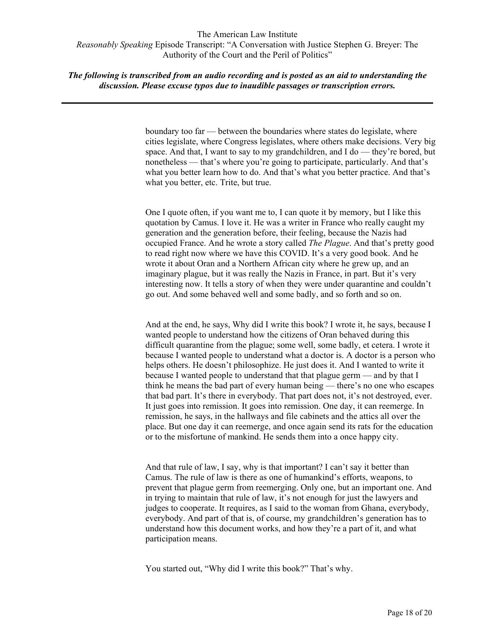# *The following is transcribed from an audio recording and is posted as an aid to understanding the discussion. Please excuse typos due to inaudible passages or transcription errors.*

boundary too far — between the boundaries where states do legislate, where cities legislate, where Congress legislates, where others make decisions. Very big space. And that, I want to say to my grandchildren, and I do — they're bored, but nonetheless — that's where you're going to participate, particularly. And that's what you better learn how to do. And that's what you better practice. And that's what you better, etc. Trite, but true.

One I quote often, if you want me to, I can quote it by memory, but I like this quotation by Camus. I love it. He was a writer in France who really caught my generation and the generation before, their feeling, because the Nazis had occupied France. And he wrote a story called *The Plague*. And that's pretty good to read right now where we have this COVID. It's a very good book. And he wrote it about Oran and a Northern African city where he grew up, and an imaginary plague, but it was really the Nazis in France, in part. But it's very interesting now. It tells a story of when they were under quarantine and couldn't go out. And some behaved well and some badly, and so forth and so on.

And at the end, he says, Why did I write this book? I wrote it, he says, because I wanted people to understand how the citizens of Oran behaved during this difficult quarantine from the plague; some well, some badly, et cetera. I wrote it because I wanted people to understand what a doctor is. A doctor is a person who helps others. He doesn't philosophize. He just does it. And I wanted to write it because I wanted people to understand that that plague germ — and by that I think he means the bad part of every human being — there's no one who escapes that bad part. It's there in everybody. That part does not, it's not destroyed, ever. It just goes into remission. It goes into remission. One day, it can reemerge. In remission, he says, in the hallways and file cabinets and the attics all over the place. But one day it can reemerge, and once again send its rats for the education or to the misfortune of mankind. He sends them into a once happy city.

And that rule of law, I say, why is that important? I can't say it better than Camus. The rule of law is there as one of humankind's efforts, weapons, to prevent that plague germ from reemerging. Only one, but an important one. And in trying to maintain that rule of law, it's not enough for just the lawyers and judges to cooperate. It requires, as I said to the woman from Ghana, everybody, everybody. And part of that is, of course, my grandchildren's generation has to understand how this document works, and how they're a part of it, and what participation means.

You started out, "Why did I write this book?" That's why.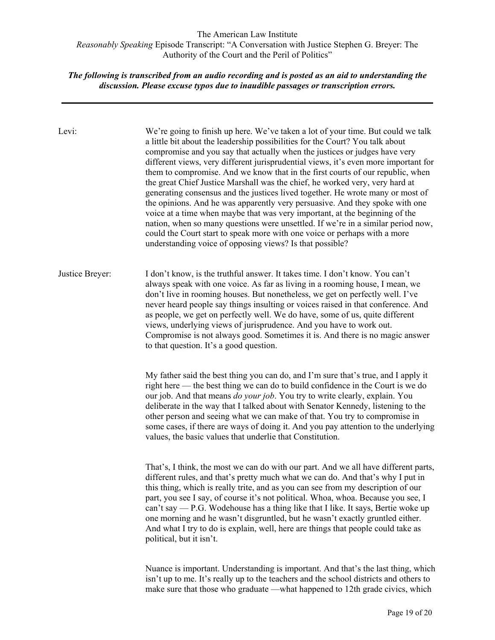| Levi:           | We're going to finish up here. We've taken a lot of your time. But could we talk<br>a little bit about the leadership possibilities for the Court? You talk about<br>compromise and you say that actually when the justices or judges have very<br>different views, very different jurisprudential views, it's even more important for<br>them to compromise. And we know that in the first courts of our republic, when<br>the great Chief Justice Marshall was the chief, he worked very, very hard at<br>generating consensus and the justices lived together. He wrote many or most of<br>the opinions. And he was apparently very persuasive. And they spoke with one<br>voice at a time when maybe that was very important, at the beginning of the<br>nation, when so many questions were unsettled. If we're in a similar period now,<br>could the Court start to speak more with one voice or perhaps with a more<br>understanding voice of opposing views? Is that possible? |
|-----------------|----------------------------------------------------------------------------------------------------------------------------------------------------------------------------------------------------------------------------------------------------------------------------------------------------------------------------------------------------------------------------------------------------------------------------------------------------------------------------------------------------------------------------------------------------------------------------------------------------------------------------------------------------------------------------------------------------------------------------------------------------------------------------------------------------------------------------------------------------------------------------------------------------------------------------------------------------------------------------------------|
| Justice Breyer: | I don't know, is the truthful answer. It takes time. I don't know. You can't<br>always speak with one voice. As far as living in a rooming house, I mean, we<br>don't live in rooming houses. But nonetheless, we get on perfectly well. I've<br>never heard people say things insulting or voices raised in that conference. And<br>as people, we get on perfectly well. We do have, some of us, quite different<br>views, underlying views of jurisprudence. And you have to work out.<br>Compromise is not always good. Sometimes it is. And there is no magic answer<br>to that question. It's a good question.                                                                                                                                                                                                                                                                                                                                                                    |
|                 | My father said the best thing you can do, and I'm sure that's true, and I apply it<br>right here — the best thing we can do to build confidence in the Court is we do<br>our job. And that means do your job. You try to write clearly, explain. You<br>deliberate in the way that I talked about with Senator Kennedy, listening to the<br>other person and seeing what we can make of that. You try to compromise in<br>some cases, if there are ways of doing it. And you pay attention to the underlying<br>values, the basic values that underlie that Constitution.                                                                                                                                                                                                                                                                                                                                                                                                              |
|                 | That's, I think, the most we can do with our part. And we all have different parts,<br>different rules, and that's pretty much what we can do. And that's why I put in<br>this thing, which is really trite, and as you can see from my description of our<br>part, you see I say, of course it's not political. Whoa, whoa. Because you see, I<br>can't say — P.G. Wodehouse has a thing like that I like. It says, Bertie woke up<br>one morning and he wasn't disgruntled, but he wasn't exactly gruntled either.<br>And what I try to do is explain, well, here are things that people could take as<br>political, but it isn't.                                                                                                                                                                                                                                                                                                                                                   |
|                 | Nuance is important. Understanding is important. And that's the last thing, which<br>isn't up to me. It's really up to the teachers and the school districts and others to<br>make sure that those who graduate —what happened to 12th grade civics, which                                                                                                                                                                                                                                                                                                                                                                                                                                                                                                                                                                                                                                                                                                                             |